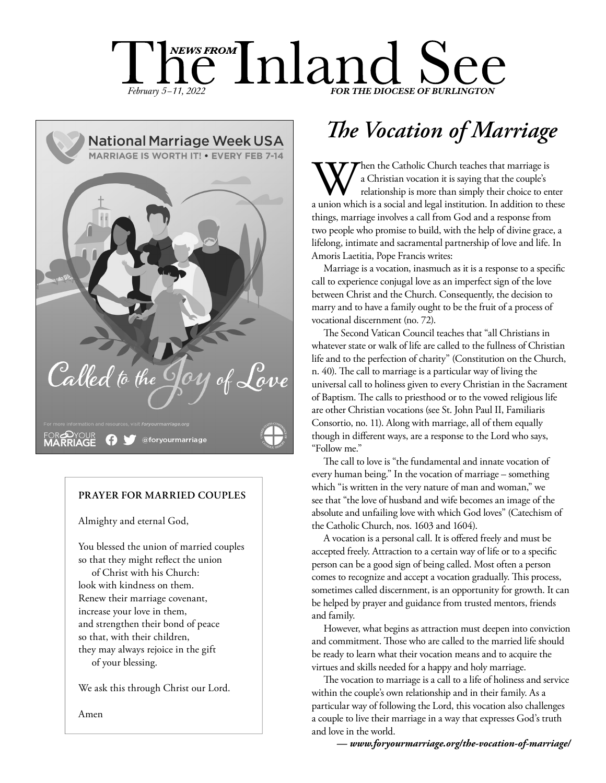# $\prod_{February~5-11,~2022}$   $\prod_{TOR}$   $\prod_{THE\, DOCESE}$  of BURLINGTON



#### **PRAYER FOR MARRIED COUPLES**

Almighty and eternal God,

You blessed the union of married couples so that they might reflect the union

of Christ with his Church: look with kindness on them. Renew their marriage covenant, increase your love in them, and strengthen their bond of peace so that, with their children, they may always rejoice in the gift of your blessing.

We ask this through Christ our Lord.

Amen

## *The Vocation of Marriage*

When the Catholic Church teaches that marriage is<br>
a Christian vocation it is saying that the couple's<br>
a union which is a social and legal institution. In addition to these a Christian vocation it is saying that the couple's relationship is more than simply their choice to enter things, marriage involves a call from God and a response from two people who promise to build, with the help of divine grace, a lifelong, intimate and sacramental partnership of love and life. In Amoris Laetitia, Pope Francis writes:

Marriage is a vocation, inasmuch as it is a response to a specific call to experience conjugal love as an imperfect sign of the love between Christ and the Church. Consequently, the decision to marry and to have a family ought to be the fruit of a process of vocational discernment (no. 72).

The Second Vatican Council teaches that "all Christians in whatever state or walk of life are called to the fullness of Christian life and to the perfection of charity" (Constitution on the Church, n. 40). The call to marriage is a particular way of living the universal call to holiness given to every Christian in the Sacrament of Baptism. The calls to priesthood or to the vowed religious life are other Christian vocations (see St. John Paul II, Familiaris Consortio, no. 11). Along with marriage, all of them equally though in different ways, are a response to the Lord who says, "Follow me."

The call to love is "the fundamental and innate vocation of every human being." In the vocation of marriage – something which "is written in the very nature of man and woman," we see that "the love of husband and wife becomes an image of the absolute and unfailing love with which God loves" (Catechism of the Catholic Church, nos. 1603 and 1604).

A vocation is a personal call. It is offered freely and must be accepted freely. Attraction to a certain way of life or to a specific person can be a good sign of being called. Most often a person comes to recognize and accept a vocation gradually. This process, sometimes called discernment, is an opportunity for growth. It can be helped by prayer and guidance from trusted mentors, friends and family.

However, what begins as attraction must deepen into conviction and commitment. Those who are called to the married life should be ready to learn what their vocation means and to acquire the virtues and skills needed for a happy and holy marriage.

The vocation to marriage is a call to a life of holiness and service within the couple's own relationship and in their family. As a particular way of following the Lord, this vocation also challenges a couple to live their marriage in a way that expresses God's truth and love in the world.

*— www.foryourmarriage.org/the-vocation-of-marriage/*